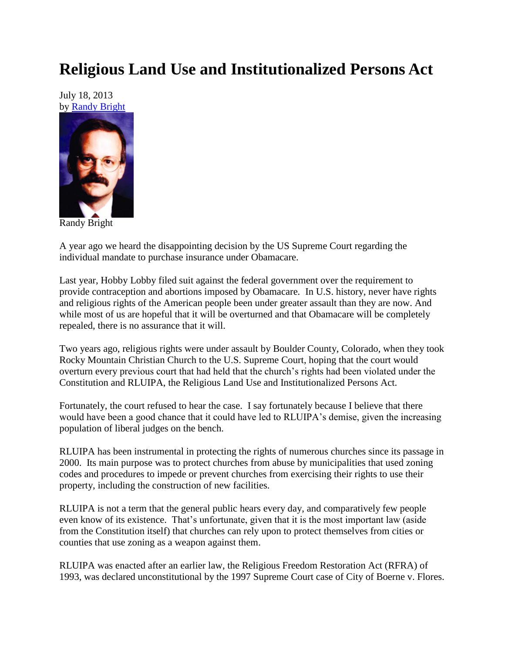## **Religious Land Use and Institutionalized Persons Act**

July 18, 2013 by [Randy Bright](http://tulsabeacon.com/writers/randy-bright/)



Randy Bright

A year ago we heard the disappointing decision by the US Supreme Court regarding the individual mandate to purchase insurance under Obamacare.

Last year, Hobby Lobby filed suit against the federal government over the requirement to provide contraception and abortions imposed by Obamacare. In U.S. history, never have rights and religious rights of the American people been under greater assault than they are now. And while most of us are hopeful that it will be overturned and that Obamacare will be completely repealed, there is no assurance that it will.

Two years ago, religious rights were under assault by Boulder County, Colorado, when they took Rocky Mountain Christian Church to the U.S. Supreme Court, hoping that the court would overturn every previous court that had held that the church's rights had been violated under the Constitution and RLUIPA, the Religious Land Use and Institutionalized Persons Act.

Fortunately, the court refused to hear the case. I say fortunately because I believe that there would have been a good chance that it could have led to RLUIPA's demise, given the increasing population of liberal judges on the bench.

RLUIPA has been instrumental in protecting the rights of numerous churches since its passage in 2000. Its main purpose was to protect churches from abuse by municipalities that used zoning codes and procedures to impede or prevent churches from exercising their rights to use their property, including the construction of new facilities.

RLUIPA is not a term that the general public hears every day, and comparatively few people even know of its existence. That's unfortunate, given that it is the most important law (aside from the Constitution itself) that churches can rely upon to protect themselves from cities or counties that use zoning as a weapon against them.

RLUIPA was enacted after an earlier law, the Religious Freedom Restoration Act (RFRA) of 1993, was declared unconstitutional by the 1997 Supreme Court case of City of Boerne v. Flores.